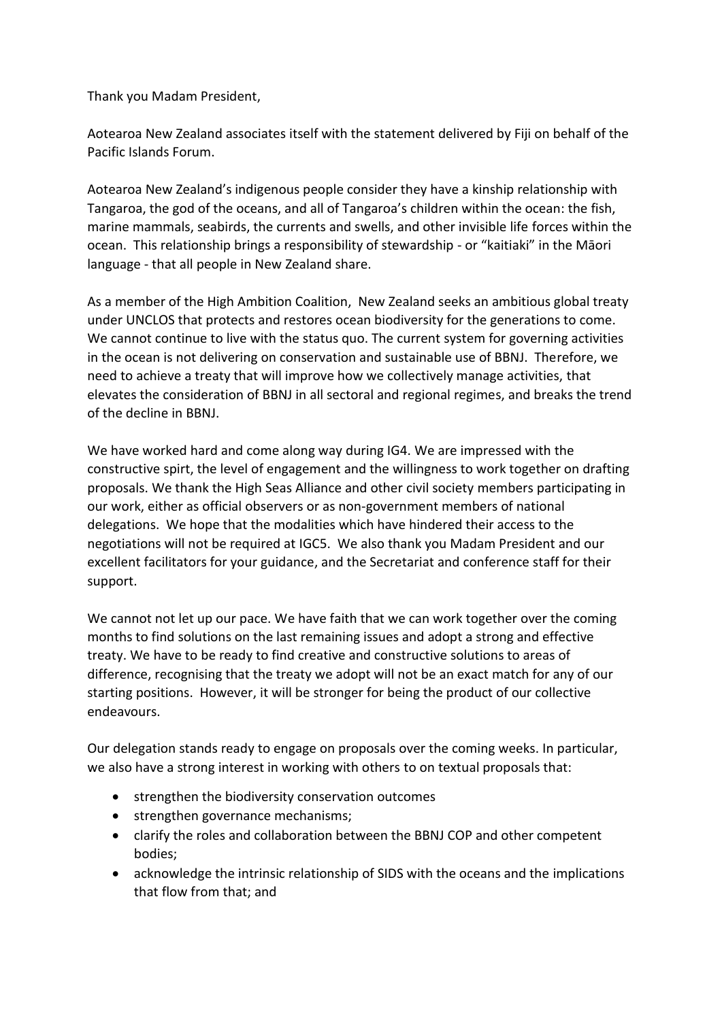Thank you Madam President,

Aotearoa New Zealand associates itself with the statement delivered by Fiji on behalf of the Pacific Islands Forum.

Aotearoa New Zealand's indigenous people consider they have a kinship relationship with Tangaroa, the god of the oceans, and all of Tangaroa's children within the ocean: the fish, marine mammals, seabirds, the currents and swells, and other invisible life forces within the ocean. This relationship brings a responsibility of stewardship - or "kaitiaki" in the Māori language - that all people in New Zealand share.

As a member of the High Ambition Coalition, New Zealand seeks an ambitious global treaty under UNCLOS that protects and restores ocean biodiversity for the generations to come. We cannot continue to live with the status quo. The current system for governing activities in the ocean is not delivering on conservation and sustainable use of BBNJ. Therefore, we need to achieve a treaty that will improve how we collectively manage activities, that elevates the consideration of BBNJ in all sectoral and regional regimes, and breaks the trend of the decline in BBNJ.

We have worked hard and come along way during IG4. We are impressed with the constructive spirt, the level of engagement and the willingness to work together on drafting proposals. We thank the High Seas Alliance and other civil society members participating in our work, either as official observers or as non-government members of national delegations. We hope that the modalities which have hindered their access to the negotiations will not be required at IGC5. We also thank you Madam President and our excellent facilitators for your guidance, and the Secretariat and conference staff for their support.

We cannot not let up our pace. We have faith that we can work together over the coming months to find solutions on the last remaining issues and adopt a strong and effective treaty. We have to be ready to find creative and constructive solutions to areas of difference, recognising that the treaty we adopt will not be an exact match for any of our starting positions. However, it will be stronger for being the product of our collective endeavours.

Our delegation stands ready to engage on proposals over the coming weeks. In particular, we also have a strong interest in working with others to on textual proposals that:

- strengthen the biodiversity conservation outcomes
- strengthen governance mechanisms;
- clarify the roles and collaboration between the BBNJ COP and other competent bodies;
- acknowledge the intrinsic relationship of SIDS with the oceans and the implications that flow from that; and